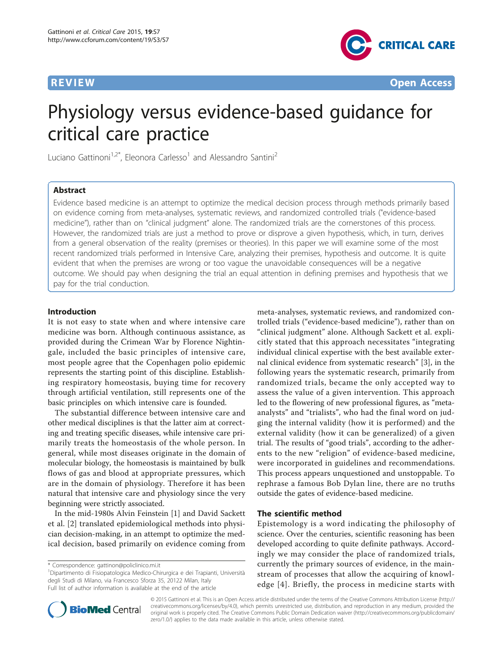

**REVIEW CONSTRUCTION CONSTRUCTION CONSTRUCTS** 

# Physiology versus evidence-based guidance for critical care practice

Luciano Gattinoni<sup>1,2\*</sup>, Eleonora Carlesso<sup>1</sup> and Alessandro Santini<sup>2</sup>

# Abstract

Evidence based medicine is an attempt to optimize the medical decision process through methods primarily based on evidence coming from meta-analyses, systematic reviews, and randomized controlled trials ("evidence-based medicine"), rather than on "clinical judgment" alone. The randomized trials are the cornerstones of this process. However, the randomized trials are just a method to prove or disprove a given hypothesis, which, in turn, derives from a general observation of the reality (premises or theories). In this paper we will examine some of the most recent randomized trials performed in Intensive Care, analyzing their premises, hypothesis and outcome. It is quite evident that when the premises are wrong or too vague the unavoidable consequences will be a negative outcome. We should pay when designing the trial an equal attention in defining premises and hypothesis that we pay for the trial conduction.

### Introduction

It is not easy to state when and where intensive care medicine was born. Although continuous assistance, as provided during the Crimean War by Florence Nightingale, included the basic principles of intensive care, most people agree that the Copenhagen polio epidemic represents the starting point of this discipline. Establishing respiratory homeostasis, buying time for recovery through artificial ventilation, still represents one of the basic principles on which intensive care is founded.

The substantial difference between intensive care and other medical disciplines is that the latter aim at correcting and treating specific diseases, while intensive care primarily treats the homeostasis of the whole person. In general, while most diseases originate in the domain of molecular biology, the homeostasis is maintained by bulk flows of gas and blood at appropriate pressures, which are in the domain of physiology. Therefore it has been natural that intensive care and physiology since the very beginning were strictly associated.

In the mid-1980s Alvin Feinstein [[1\]](#page-3-0) and David Sackett et al. [[2\]](#page-3-0) translated epidemiological methods into physician decision-making, in an attempt to optimize the medical decision, based primarily on evidence coming from

1 Dipartimento di Fisiopatologica Medico-Chirurgica e dei Trapianti, Università degli Studi di Milano, via Francesco Sforza 35, 20122 Milan, Italy Full list of author information is available at the end of the article

meta-analyses, systematic reviews, and randomized controlled trials ("evidence-based medicine"), rather than on "clinical judgment" alone. Although Sackett et al. explicitly stated that this approach necessitates "integrating individual clinical expertise with the best available external clinical evidence from systematic research" [[3\]](#page-3-0), in the following years the systematic research, primarily from randomized trials, became the only accepted way to assess the value of a given intervention. This approach led to the flowering of new professional figures, as "metaanalysts" and "trialists", who had the final word on judging the internal validity (how it is performed) and the external validity (how it can be generalized) of a given trial. The results of "good trials", according to the adherents to the new "religion" of evidence-based medicine, were incorporated in guidelines and recommendations. This process appears unquestioned and unstoppable. To rephrase a famous Bob Dylan line, there are no truths outside the gates of evidence-based medicine.

#### The scientific method

Epistemology is a word indicating the philosophy of science. Over the centuries, scientific reasoning has been developed according to quite definite pathways. Accordingly we may consider the place of randomized trials, currently the primary sources of evidence, in the mainstream of processes that allow the acquiring of knowledge [[4](#page-3-0)]. Briefly, the process in medicine starts with



© 2015 Gattinoni et al. This is an Open Access article distributed under the terms of the Creative Commons Attribution License [\(http://](http://creativecommons.org/licenses/by/4.0) [creativecommons.org/licenses/by/4.0](http://creativecommons.org/licenses/by/4.0)), which permits unrestricted use, distribution, and reproduction in any medium, provided the original work is properly cited. The Creative Commons Public Domain Dedication waiver ([http://creativecommons.org/publicdomain/](http://creativecommons.org/publicdomain/zero/1.0/) [zero/1.0/](http://creativecommons.org/publicdomain/zero/1.0/)) applies to the data made available in this article, unless otherwise stated.

<sup>\*</sup> Correspondence: [gattinon@policlinico.mi.it](mailto:gattinon@policlinico.mi.it)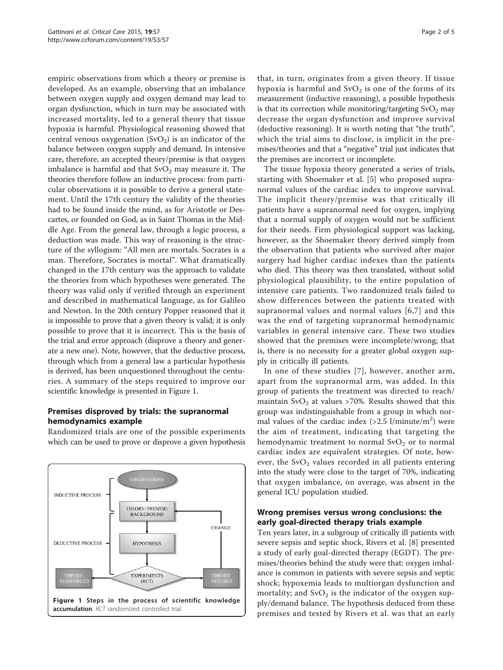empiric observations from which a theory or premise is developed. As an example, observing that an imbalance between oxygen supply and oxygen demand may lead to organ dysfunction, which in turn may be associated with increased mortality, led to a general theory that tissue hypoxia is harmful. Physiological reasoning showed that central venous oxygenation  $(SvO<sub>2</sub>)$  is an indicator of the balance between oxygen supply and demand. In intensive care, therefore, an accepted theory/premise is that oxygen imbalance is harmful and that  $SvO<sub>2</sub>$  may measure it. The theories therefore follow an inductive process: from particular observations it is possible to derive a general statement. Until the 17th century the validity of the theories had to be found inside the mind, as for Aristotle or Descartes, or founded on God, as in Saint Thomas in the Middle Age. From the general law, through a logic process, a deduction was made. This way of reasoning is the structure of the syllogism: "All men are mortals. Socrates is a man. Therefore, Socrates is mortal". What dramatically changed in the 17th century was the approach to validate the theories from which hypotheses were generated. The theory was valid only if verified through an experiment and described in mathematical language, as for Galileo and Newton. In the 20th century Popper reasoned that it is impossible to prove that a given theory is valid; it is only possible to prove that it is incorrect. This is the basis of the trial and error approach (disprove a theory and generate a new one). Note, however, that the deductive process, through which from a general law a particular hypothesis is derived, has been unquestioned throughout the centuries. A summary of the steps required to improve our scientific knowledge is presented in Figure 1.

# Premises disproved by trials: the supranormal hemodynamics example

Randomized trials are one of the possible experiments which can be used to prove or disprove a given hypothesis



that, in turn, originates from a given theory. If tissue hypoxia is harmful and  $SvO<sub>2</sub>$  is one of the forms of its measurement (inductive reasoning), a possible hypothesis is that its correction while monitoring/targeting  $\text{SvO}_2$  may decrease the organ dysfunction and improve survival (deductive reasoning). It is worth noting that "the truth", which the trial aims to disclose, is implicit in the premises/theories and that a "negative" trial just indicates that the premises are incorrect or incomplete.

The tissue hypoxia theory generated a series of trials, starting with Shoemaker et al. [[5\]](#page-3-0) who proposed supranormal values of the cardiac index to improve survival. The implicit theory/premise was that critically ill patients have a supranormal need for oxygen, implying that a normal supply of oxygen would not be sufficient for their needs. Firm physiological support was lacking, however, as the Shoemaker theory derived simply from the observation that patients who survived after major surgery had higher cardiac indexes than the patients who died. This theory was then translated, without solid physiological plausibility, to the entire population of intensive care patients. Two randomized trials failed to show differences between the patients treated with supranormal values and normal values [[6](#page-3-0),[7\]](#page-4-0) and this was the end of targeting supranormal hemodynamic variables in general intensive care. These two studies showed that the premises were incomplete/wrong; that is, there is no necessity for a greater global oxygen supply in critically ill patients.

In one of these studies [[7](#page-4-0)], however, another arm, apart from the supranormal arm, was added. In this group of patients the treatment was directed to reach/ maintain  $\text{SvO}_2$  at values >70%. Results showed that this group was indistinguishable from a group in which normal values of the cardiac index  $(>2.5 \frac{1}{\text{minute}})^2$  were the aim of treatment, indicating that targeting the hemodynamic treatment to normal  $\text{SvO}_2$  or to normal cardiac index are equivalent strategies. Of note, however, the  $SvO<sub>2</sub>$  values recorded in all patients entering into the study were close to the target of 70%, indicating that oxygen imbalance, on average, was absent in the general ICU population studied.

# Wrong premises versus wrong conclusions: the early goal-directed therapy trials example

Ten years later, in a subgroup of critically ill patients with severe sepsis and septic shock, Rivers et al. [\[8](#page-4-0)] presented a study of early goal-directed therapy (EGDT). The premises/theories behind the study were that: oxygen imbalance is common in patients with severe sepsis and septic shock; hypoxemia leads to multiorgan dysfunction and mortality; and  $\text{SvO}_2$  is the indicator of the oxygen supply/demand balance. The hypothesis deduced from these premises and tested by Rivers et al. was that an early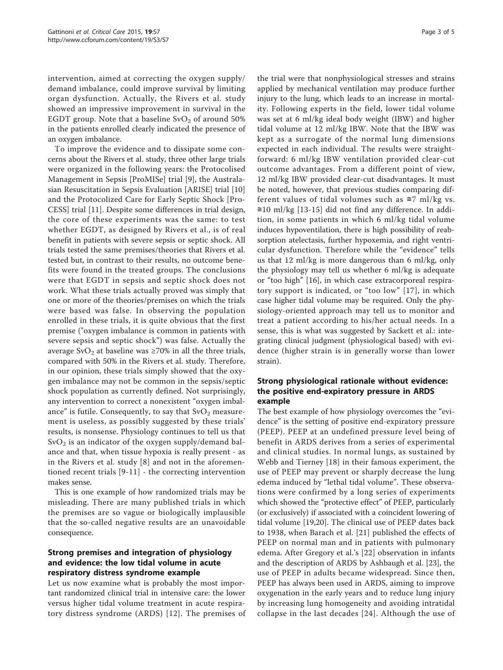intervention, aimed at correcting the oxygen supply/ demand imbalance, could improve survival by limiting organ dysfunction. Actually, the Rivers et al. study showed an impressive improvement in survival in the EGDT group. Note that a baseline  $\text{SvO}_2$  of around 50% in the patients enrolled clearly indicated the presence of an oxygen imbalance.

To improve the evidence and to dissipate some concerns about the Rivers et al. study, three other large trials were organized in the following years: the Protocolised Management in Sepsis [ProMISe] trial [[9\]](#page-4-0), the Australasian Resuscitation in Sepsis Evaluation [ARISE] trial [[10](#page-4-0)] and the Protocolized Care for Early Septic Shock [Pro-CESS] trial [[11\]](#page-4-0). Despite some differences in trial design, the core of these experiments was the same: to test whether EGDT, as designed by Rivers et al., is of real benefit in patients with severe sepsis or septic shock. All trials tested the same premises/theories that Rivers et al. tested but, in contrast to their results, no outcome benefits were found in the treated groups. The conclusions were that EGDT in sepsis and septic shock does not work. What these trials actually proved was simply that one or more of the theories/premises on which the trials were based was false. In observing the population enrolled in these trials, it is quite obvious that the first premise ("oxygen imbalance is common in patients with severe sepsis and septic shock") was false. Actually the average SvO<sub>2</sub> at baseline was  $\geq$ 70% in all the three trials, compared with 50% in the Rivers et al. study. Therefore, in our opinion, these trials simply showed that the oxygen imbalance may not be common in the sepsis/septic shock population as currently defined. Not surprisingly, any intervention to correct a nonexistent "oxygen imbalance" is futile. Consequently, to say that  $\text{SvO}_2$  measurement is useless, as possibly suggested by these trials' results, is nonsense. Physiology continues to tell us that  $SvO<sub>2</sub>$  is an indicator of the oxygen supply/demand balance and that, when tissue hypoxia is really present - as in the Rivers et al. study [[8](#page-4-0)] and not in the aforementioned recent trials [[9-11\]](#page-4-0) - the correcting intervention makes sense.

This is one example of how randomized trials may be misleading. There are many published trials in which the premises are so vague or biologically implausible that the so-called negative results are an unavoidable consequence.

# Strong premises and integration of physiology and evidence: the low tidal volume in acute respiratory distress syndrome example

Let us now examine what is probably the most important randomized clinical trial in intensive care: the lower versus higher tidal volume treatment in acute respiratory distress syndrome (ARDS) [[12](#page-4-0)]. The premises of

the trial were that nonphysiological stresses and strains applied by mechanical ventilation may produce further injury to the lung, which leads to an increase in mortality. Following experts in the field, lower tidal volume was set at 6 ml/kg ideal body weight (IBW) and higher tidal volume at 12 ml/kg IBW. Note that the IBW was kept as a surrogate of the normal lung dimensions expected in each individual. The results were straightforward: 6 ml/kg IBW ventilation provided clear-cut outcome advantages. From a different point of view, 12 ml/kg IBW provided clear-cut disadvantages. It must be noted, however, that previous studies comparing different values of tidal volumes such as  $\approx$ 7 ml/kg vs. ≅10 ml/kg [\[13](#page-4-0)-[15](#page-4-0)] did not find any difference. In addition, in some patients in which 6 ml/kg tidal volume induces hypoventilation, there is high possibility of reabsorption atelectasis, further hypoxemia, and right ventricular dysfunction. Therefore while the "evidence" tells us that 12 ml/kg is more dangerous than 6 ml/kg, only the physiology may tell us whether 6 ml/kg is adequate or "too high" [[16\]](#page-4-0), in which case extracorporeal respiratory support is indicated, or "too low" [[17](#page-4-0)], in which case higher tidal volume may be required. Only the physiology-oriented approach may tell us to monitor and treat a patient according to his/her actual needs. In a sense, this is what was suggested by Sackett et al.: integrating clinical judgment (physiological based) with evidence (higher strain is in generally worse than lower strain).

# Strong physiological rationale without evidence: the positive end-expiratory pressure in ARDS example

The best example of how physiology overcomes the "evidence" is the setting of positive end-expiratory pressure (PEEP). PEEP at an undefined pressure level being of benefit in ARDS derives from a series of experimental and clinical studies. In normal lungs, as sustained by Webb and Tierney [\[18](#page-4-0)] in their famous experiment, the use of PEEP may prevent or sharply decrease the lung edema induced by "lethal tidal volume". These observations were confirmed by a long series of experiments which showed the "protective effect" of PEEP, particularly (or exclusively) if associated with a coincident lowering of tidal volume [[19,20\]](#page-4-0). The clinical use of PEEP dates back to 1938, when Barach et al. [[21\]](#page-4-0) published the effects of PEEP on normal man and in patients with pulmonary edema. After Gregory et al.'s [\[22](#page-4-0)] observation in infants and the description of ARDS by Ashbaugh et al. [[23](#page-4-0)], the use of PEEP in adults became widespread. Since then, PEEP has always been used in ARDS, aiming to improve oxygenation in the early years and to reduce lung injury by increasing lung homogeneity and avoiding intratidal collapse in the last decades [\[24\]](#page-4-0). Although the use of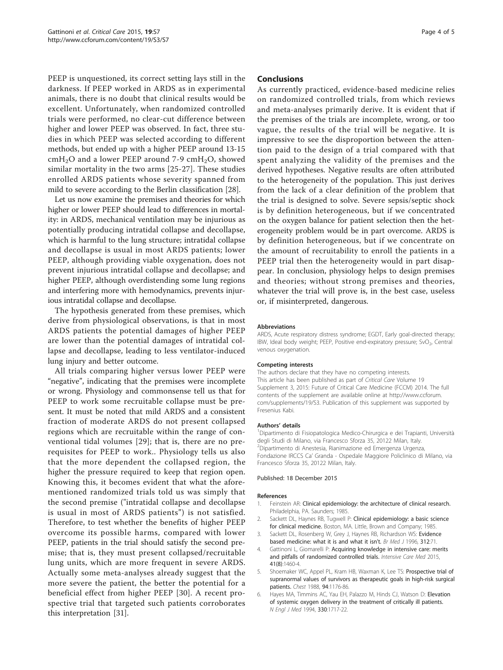<span id="page-3-0"></span>PEEP is unquestioned, its correct setting lays still in the darkness. If PEEP worked in ARDS as in experimental animals, there is no doubt that clinical results would be excellent. Unfortunately, when randomized controlled trials were performed, no clear-cut difference between higher and lower PEEP was observed. In fact, three studies in which PEEP was selected according to different methods, but ended up with a higher PEEP around 13-15  $cmH<sub>2</sub>O$  and a lower PEEP around 7-9  $cmH<sub>2</sub>O$ , showed similar mortality in the two arms [[25-27](#page-4-0)]. These studies enrolled ARDS patients whose severity spanned from mild to severe according to the Berlin classification [\[28\]](#page-4-0).

Let us now examine the premises and theories for which higher or lower PEEP should lead to differences in mortality: in ARDS, mechanical ventilation may be injurious as potentially producing intratidal collapse and decollapse, which is harmful to the lung structure; intratidal collapse and decollapse is usual in most ARDS patients; lower PEEP, although providing viable oxygenation, does not prevent injurious intratidal collapse and decollapse; and higher PEEP, although overdistending some lung regions and interfering more with hemodynamics, prevents injurious intratidal collapse and decollapse.

The hypothesis generated from these premises, which derive from physiological observations, is that in most ARDS patients the potential damages of higher PEEP are lower than the potential damages of intratidal collapse and decollapse, leading to less ventilator-induced lung injury and better outcome.

All trials comparing higher versus lower PEEP were "negative", indicating that the premises were incomplete or wrong. Physiology and commonsense tell us that for PEEP to work some recruitable collapse must be present. It must be noted that mild ARDS and a consistent fraction of moderate ARDS do not present collapsed regions which are recruitable within the range of conventional tidal volumes [[29](#page-4-0)]; that is, there are no prerequisites for PEEP to work.. Physiology tells us also that the more dependent the collapsed region, the higher the pressure required to keep that region open. Knowing this, it becomes evident that what the aforementioned randomized trials told us was simply that the second premise ("intratidal collapse and decollapse is usual in most of ARDS patients") is not satisfied. Therefore, to test whether the benefits of higher PEEP overcome its possible harms, compared with lower PEEP, patients in the trial should satisfy the second premise; that is, they must present collapsed/recruitable lung units, which are more frequent in severe ARDS. Actually some meta-analyses already suggest that the more severe the patient, the better the potential for a beneficial effect from higher PEEP [[30](#page-4-0)]. A recent prospective trial that targeted such patients corroborates this interpretation [\[31](#page-4-0)].

#### Conclusions

As currently practiced, evidence-based medicine relies on randomized controlled trials, from which reviews and meta-analyses primarily derive. It is evident that if the premises of the trials are incomplete, wrong, or too vague, the results of the trial will be negative. It is impressive to see the disproportion between the attention paid to the design of a trial compared with that spent analyzing the validity of the premises and the derived hypotheses. Negative results are often attributed to the heterogeneity of the population. This just derives from the lack of a clear definition of the problem that the trial is designed to solve. Severe sepsis/septic shock is by definition heterogeneous, but if we concentrated on the oxygen balance for patient selection then the heterogeneity problem would be in part overcome. ARDS is by definition heterogeneous, but if we concentrate on the amount of recruitability to enroll the patients in a PEEP trial then the heterogeneity would in part disappear. In conclusion, physiology helps to design premises and theories; without strong premises and theories, whatever the trial will prove is, in the best case, useless or, if misinterpreted, dangerous.

#### **Abbreviations**

ARDS, Acute respiratory distress syndrome; EGDT, Early goal-directed therapy; IBW, Ideal body weight; PEEP, Positive end-expiratory pressure; SvO<sub>2</sub>, Central venous oxygenation.

#### Competing interests

The authors declare that they have no competing interests. This article has been published as part of Critical Care Volume 19 Supplement 3, 2015: Future of Critical Care Medicine (FCCM) 2014. The full contents of the supplement are available online at [http://www.ccforum.](http://www.ccforum.com/supplements/19/S3) [com/supplements/19/S3](http://www.ccforum.com/supplements/19/S3). Publication of this supplement was supported by Fresenius Kabi.

#### Authors' details <sup>1</sup>

<sup>1</sup>Dipartimento di Fisiopatologica Medico-Chirurgica e dei Trapianti, Università degli Studi di Milano, via Francesco Sforza 35, 20122 Milan, Italy. 2 Dipartimento di Anestesia, Rianimazione ed Emergenza Urgenza, Fondazione IRCCS Ca' Granda - Ospedale Maggiore Policlinico di Milano, via Francesco Sforza 35, 20122 Milan, Italy.

#### Published: 18 December 2015

#### References

- 1. Feinstein AR: Clinical epidemiology: the architecture of clinical research. Philadelphia, PA. Saunders; 1985.
- 2. Sackett DL, Haynes RB, Tugwell P: Clinical epidemiology: a basic science for clinical medicine. Boston, MA. Little, Brown and Company; 1985.
- 3. Sackett DL, Rosenberg W, Grey J, Haynes RB, Richardson WS: Evidence based medicine: what it is and what it isn't. Br Med J 1996, 312:71.
- 4. Gattinoni L, Giomarelli P: Acquiring knowledge in intensive care: merits and pitfalls of randomized controlled trials. Intensive Care Med 2015, 41(8):1460-4.
- 5. Shoemaker WC, Appel PL, Kram HB, Waxman K, Lee TS: Prospective trial of supranormal values of survivors as therapeutic goals in high-risk surgical patients. Chest 1988, 94:1176-86.
- 6. Hayes MA, Timmins AC, Yau EH, Palazzo M, Hinds CJ, Watson D: Elevation of systemic oxygen delivery in the treatment of critically ill patients. N Engl J Med 1994, 330:1717-22.